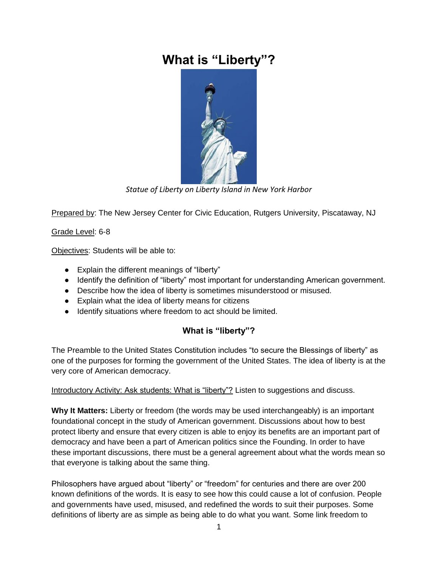# **What is "Liberty"?**



*Statue of Liberty on Liberty Island in New York Harbor*

Prepared by: The New Jersey Center for Civic Education, Rutgers University, Piscataway, NJ

Grade Level: 6-8

Objectives: Students will be able to:

- Explain the different meanings of "liberty"
- Identify the definition of "liberty" most important for understanding American government.
- Describe how the idea of liberty is sometimes misunderstood or misused.
- Explain what the idea of liberty means for citizens
- Identify situations where freedom to act should be limited.

## **What is "liberty"?**

The Preamble to the United States Constitution includes "to secure the Blessings of liberty" as one of the purposes for forming the government of the United States. The idea of liberty is at the very core of American democracy.

Introductory Activity: Ask students: What is "liberty"? Listen to suggestions and discuss.

**Why It Matters:** Liberty or freedom (the words may be used interchangeably) is an important foundational concept in the study of American government. Discussions about how to best protect liberty and ensure that every citizen is able to enjoy its benefits are an important part of democracy and have been a part of American politics since the Founding. In order to have these important discussions, there must be a general agreement about what the words mean so that everyone is talking about the same thing.

Philosophers have argued about "liberty" or "freedom" for centuries and there are over 200 known definitions of the words. It is easy to see how this could cause a lot of confusion. People and governments have used, misused, and redefined the words to suit their purposes. Some definitions of liberty are as simple as being able to do what you want. Some link freedom to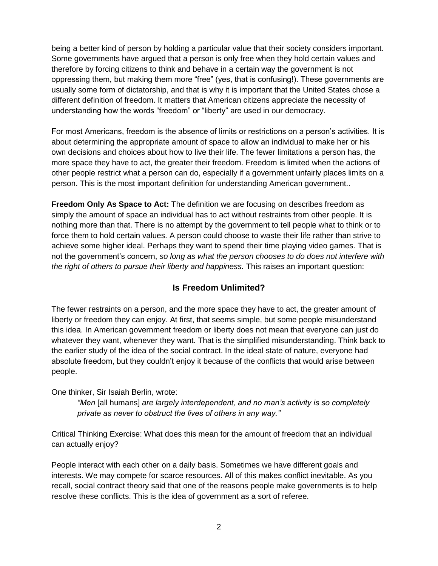being a better kind of person by holding a particular value that their society considers important. Some governments have argued that a person is only free when they hold certain values and therefore by forcing citizens to think and behave in a certain way the government is not oppressing them, but making them more "free" (yes, that is confusing!). These governments are usually some form of dictatorship, and that is why it is important that the United States chose a different definition of freedom. It matters that American citizens appreciate the necessity of understanding how the words "freedom" or "liberty" are used in our democracy.

For most Americans, freedom is the absence of limits or restrictions on a person's activities. It is about determining the appropriate amount of space to allow an individual to make her or his own decisions and choices about how to live their life. The fewer limitations a person has, the more space they have to act, the greater their freedom. Freedom is limited when the actions of other people restrict what a person can do, especially if a government unfairly places limits on a person. This is the most important definition for understanding American government..

**Freedom Only As Space to Act:** The definition we are focusing on describes freedom as simply the amount of space an individual has to act without restraints from other people. It is nothing more than that. There is no attempt by the government to tell people what to think or to force them to hold certain values. A person could choose to waste their life rather than strive to achieve some higher ideal. Perhaps they want to spend their time playing video games. That is not the government's concern, *so long as what the person chooses to do does not interfere with the right of others to pursue their liberty and happiness.* This raises an important question:

### **Is Freedom Unlimited?**

The fewer restraints on a person, and the more space they have to act, the greater amount of liberty or freedom they can enjoy. At first, that seems simple, but some people misunderstand this idea. In American government freedom or liberty does not mean that everyone can just do whatever they want, whenever they want. That is the simplified misunderstanding. Think back to the earlier study of the idea of the social contract. In the ideal state of nature, everyone had absolute freedom, but they couldn't enjoy it because of the conflicts that would arise between people.

One thinker, Sir Isaiah Berlin, wrote:

*"Men* [all humans] *are largely interdependent, and no man's activity is so completely private as never to obstruct the lives of others in any way."*

Critical Thinking Exercise: What does this mean for the amount of freedom that an individual can actually enjoy?

People interact with each other on a daily basis. Sometimes we have different goals and interests. We may compete for scarce resources. All of this makes conflict inevitable. As you recall, social contract theory said that one of the reasons people make governments is to help resolve these conflicts. This is the idea of government as a sort of referee.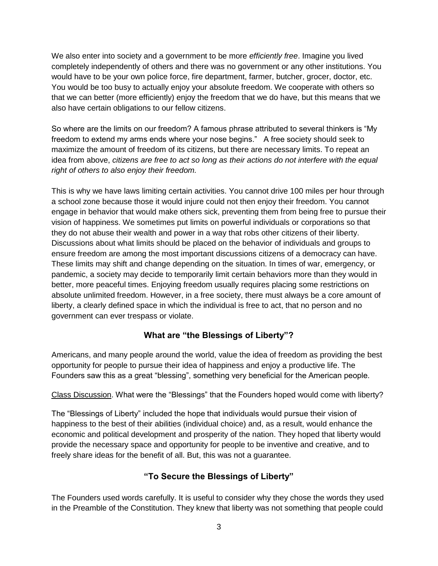We also enter into society and a government to be more *efficiently free*. Imagine you lived completely independently of others and there was no government or any other institutions. You would have to be your own police force, fire department, farmer, butcher, grocer, doctor, etc. You would be too busy to actually enjoy your absolute freedom. We cooperate with others so that we can better (more efficiently) enjoy the freedom that we do have, but this means that we also have certain obligations to our fellow citizens.

So where are the limits on our freedom? A famous phrase attributed to several thinkers is "My freedom to extend my arms ends where your nose begins." A free society should seek to maximize the amount of freedom of its citizens, but there are necessary limits. To repeat an idea from above, *citizens are free to act so long as their actions do not interfere with the equal right of others to also enjoy their freedom.*

This is why we have laws limiting certain activities. You cannot drive 100 miles per hour through a school zone because those it would injure could not then enjoy their freedom. You cannot engage in behavior that would make others sick, preventing them from being free to pursue their vision of happiness. We sometimes put limits on powerful individuals or corporations so that they do not abuse their wealth and power in a way that robs other citizens of their liberty. Discussions about what limits should be placed on the behavior of individuals and groups to ensure freedom are among the most important discussions citizens of a democracy can have. These limits may shift and change depending on the situation. In times of war, emergency, or pandemic, a society may decide to temporarily limit certain behaviors more than they would in better, more peaceful times. Enjoying freedom usually requires placing some restrictions on absolute unlimited freedom. However, in a free society, there must always be a core amount of liberty, a clearly defined space in which the individual is free to act, that no person and no government can ever trespass or violate.

## **What are "the Blessings of Liberty"?**

Americans, and many people around the world, value the idea of freedom as providing the best opportunity for people to pursue their idea of happiness and enjoy a productive life. The Founders saw this as a great "blessing", something very beneficial for the American people.

### Class Discussion. What were the "Blessings" that the Founders hoped would come with liberty?

The "Blessings of Liberty" included the hope that individuals would pursue their vision of happiness to the best of their abilities (individual choice) and, as a result, would enhance the economic and political development and prosperity of the nation. They hoped that liberty would provide the necessary space and opportunity for people to be inventive and creative, and to freely share ideas for the benefit of all. But, this was not a guarantee.

## **"To Secure the Blessings of Liberty"**

The Founders used words carefully. It is useful to consider why they chose the words they used in the Preamble of the Constitution. They knew that liberty was not something that people could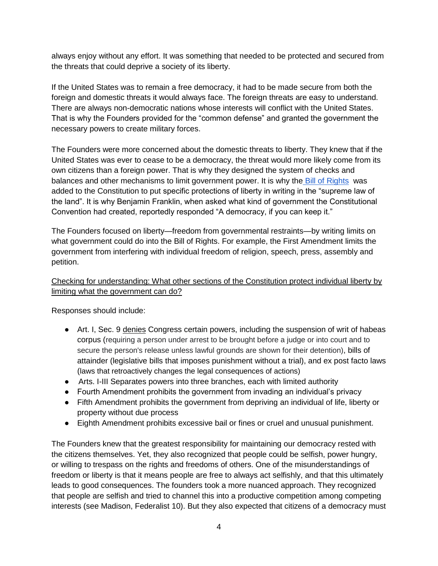always enjoy without any effort. It was something that needed to be protected and secured from the threats that could deprive a society of its liberty.

If the United States was to remain a free democracy, it had to be made secure from both the foreign and domestic threats it would always face. The foreign threats are easy to understand. There are always non-democratic nations whose interests will conflict with the United States. That is why the Founders provided for the "common defense" and granted the government the necessary powers to create military forces.

The Founders were more concerned about the domestic threats to liberty. They knew that if the United States was ever to cease to be a democracy, the threat would more likely come from its own citizens than a foreign power. That is why they designed the system of checks and balances and other mechanisms to limit government power. It is why the [Bill of Rights](https://constitutioncenter.org/learn/educational-resources/historical-documents/bill-of-rights) was added to the Constitution to put specific protections of liberty in writing in the "supreme law of the land". It is why Benjamin Franklin, when asked what kind of government the Constitutional Convention had created, reportedly responded "A democracy, if you can keep it."

The Founders focused on liberty—freedom from governmental restraints—by writing limits on what government could do into the Bill of Rights. For example, the First Amendment limits the government from interfering with individual freedom of religion, speech, press, assembly and petition.

### Checking for understanding: What other sections of the Constitution protect individual liberty by limiting what the government can do?

Responses should include:

- Art. I, Sec. 9 denies Congress certain powers, including the suspension of writ of habeas corpus (requiring a person under arrest to be brought before a judge or into court and to secure the person's release unless lawful grounds are shown for their detention), bills of attainder (legislative bills that imposes punishment without a trial), and ex post facto laws (laws that retroactively changes the legal consequences of actions)
- Arts. I-III Separates powers into three branches, each with limited authority
- Fourth Amendment prohibits the government from invading an individual's privacy
- Fifth Amendment prohibits the government from depriving an individual of life, liberty or property without due process
- Eighth Amendment prohibits excessive bail or fines or cruel and unusual punishment.

The Founders knew that the greatest responsibility for maintaining our democracy rested with the citizens themselves. Yet, they also recognized that people could be selfish, power hungry, or willing to trespass on the rights and freedoms of others. One of the misunderstandings of freedom or liberty is that it means people are free to always act selfishly, and that this ultimately leads to good consequences. The founders took a more nuanced approach. They recognized that people are selfish and tried to channel this into a productive competition among competing interests (see Madison, Federalist 10). But they also expected that citizens of a democracy must